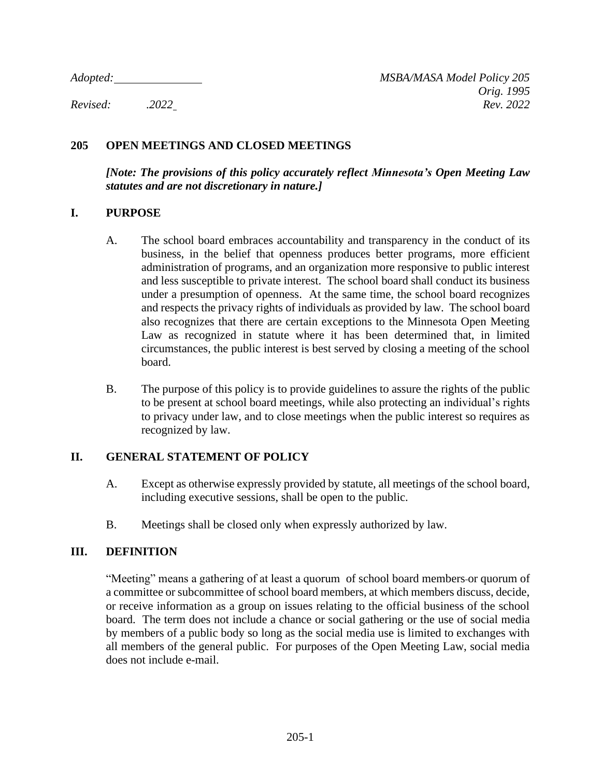## **205 OPEN MEETINGS AND CLOSED MEETINGS**

*[Note: The provisions of this policy accurately reflect Minnesota's Open Meeting Law statutes and are not discretionary in nature.]*

#### **I. PURPOSE**

- A. The school board embraces accountability and transparency in the conduct of its business, in the belief that openness produces better programs, more efficient administration of programs, and an organization more responsive to public interest and less susceptible to private interest. The school board shall conduct its business under a presumption of openness. At the same time, the school board recognizes and respects the privacy rights of individuals as provided by law. The school board also recognizes that there are certain exceptions to the Minnesota Open Meeting Law as recognized in statute where it has been determined that, in limited circumstances, the public interest is best served by closing a meeting of the school board.
- B. The purpose of this policy is to provide guidelines to assure the rights of the public to be present at school board meetings, while also protecting an individual's rights to privacy under law, and to close meetings when the public interest so requires as recognized by law.

## **II. GENERAL STATEMENT OF POLICY**

- A. Except as otherwise expressly provided by statute, all meetings of the school board, including executive sessions, shall be open to the public.
- B. Meetings shall be closed only when expressly authorized by law.

## **III. DEFINITION**

"Meeting" means a gathering of at least a quorum of school board members or quorum of a committee or subcommittee of school board members, at which members discuss, decide, or receive information as a group on issues relating to the official business of the school board. The term does not include a chance or social gathering or the use of social media by members of a public body so long as the social media use is limited to exchanges with all members of the general public. For purposes of the Open Meeting Law, social media does not include e-mail.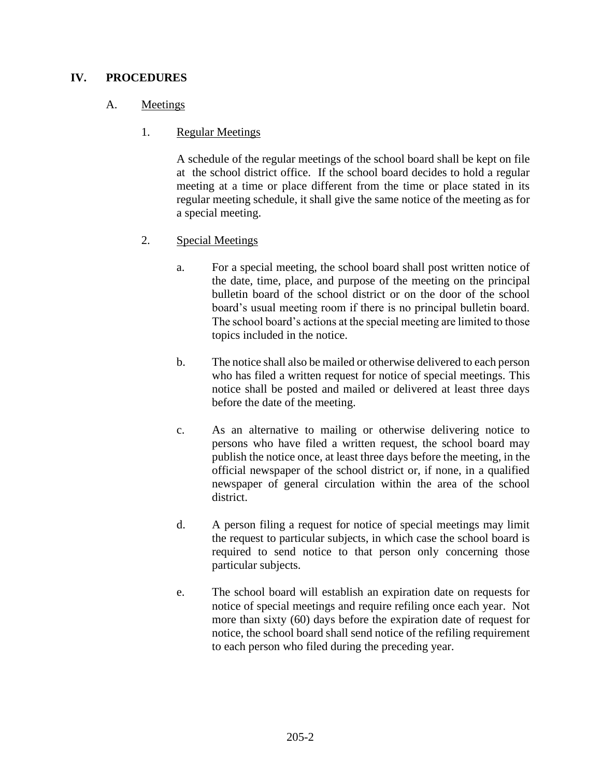## **IV. PROCEDURES**

## A. Meetings

## 1. Regular Meetings

A schedule of the regular meetings of the school board shall be kept on file at the school district office. If the school board decides to hold a regular meeting at a time or place different from the time or place stated in its regular meeting schedule, it shall give the same notice of the meeting as for a special meeting.

# 2. Special Meetings

- a. For a special meeting, the school board shall post written notice of the date, time, place, and purpose of the meeting on the principal bulletin board of the school district or on the door of the school board's usual meeting room if there is no principal bulletin board. The school board's actions at the special meeting are limited to those topics included in the notice.
- b. The notice shall also be mailed or otherwise delivered to each person who has filed a written request for notice of special meetings. This notice shall be posted and mailed or delivered at least three days before the date of the meeting.
- c. As an alternative to mailing or otherwise delivering notice to persons who have filed a written request, the school board may publish the notice once, at least three days before the meeting, in the official newspaper of the school district or, if none, in a qualified newspaper of general circulation within the area of the school district.
- d. A person filing a request for notice of special meetings may limit the request to particular subjects, in which case the school board is required to send notice to that person only concerning those particular subjects.
- e. The school board will establish an expiration date on requests for notice of special meetings and require refiling once each year. Not more than sixty (60) days before the expiration date of request for notice, the school board shall send notice of the refiling requirement to each person who filed during the preceding year.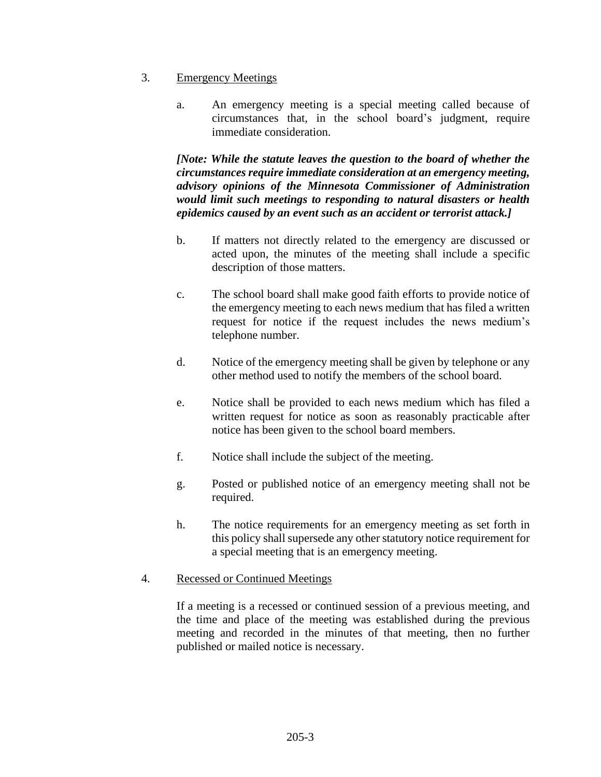- 3. Emergency Meetings
	- a. An emergency meeting is a special meeting called because of circumstances that, in the school board's judgment, require immediate consideration.

*[Note: While the statute leaves the question to the board of whether the circumstances require immediate consideration at an emergency meeting, advisory opinions of the Minnesota Commissioner of Administration would limit such meetings to responding to natural disasters or health epidemics caused by an event such as an accident or terrorist attack.]*

- b. If matters not directly related to the emergency are discussed or acted upon, the minutes of the meeting shall include a specific description of those matters.
- c. The school board shall make good faith efforts to provide notice of the emergency meeting to each news medium that has filed a written request for notice if the request includes the news medium's telephone number.
- d. Notice of the emergency meeting shall be given by telephone or any other method used to notify the members of the school board.
- e. Notice shall be provided to each news medium which has filed a written request for notice as soon as reasonably practicable after notice has been given to the school board members.
- f. Notice shall include the subject of the meeting.
- g. Posted or published notice of an emergency meeting shall not be required.
- h. The notice requirements for an emergency meeting as set forth in this policy shall supersede any other statutory notice requirement for a special meeting that is an emergency meeting.

#### 4. Recessed or Continued Meetings

If a meeting is a recessed or continued session of a previous meeting, and the time and place of the meeting was established during the previous meeting and recorded in the minutes of that meeting, then no further published or mailed notice is necessary.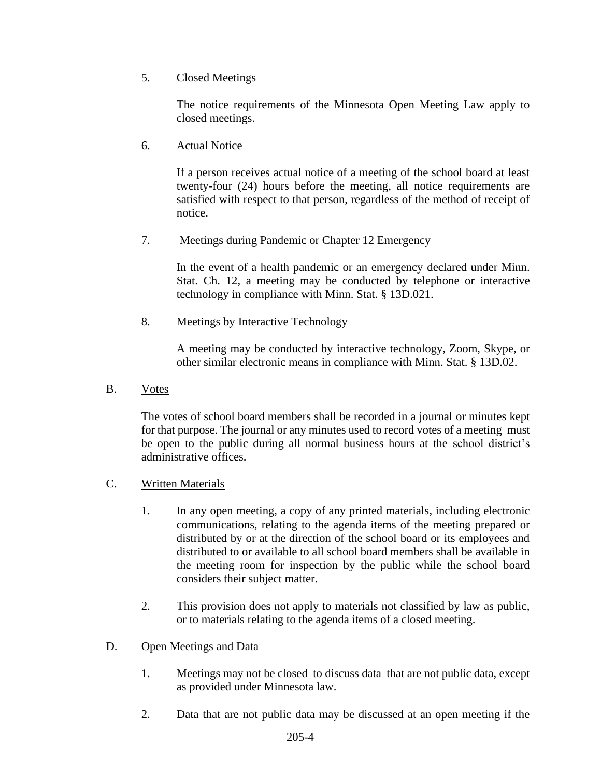## 5. Closed Meetings

The notice requirements of the Minnesota Open Meeting Law apply to closed meetings.

## 6. Actual Notice

If a person receives actual notice of a meeting of the school board at least twenty-four (24) hours before the meeting, all notice requirements are satisfied with respect to that person, regardless of the method of receipt of notice.

## 7. Meetings during Pandemic or Chapter 12 Emergency

In the event of a health pandemic or an emergency declared under Minn. Stat. Ch. 12, a meeting may be conducted by telephone or interactive technology in compliance with Minn. Stat. § 13D.021.

# 8. Meetings by Interactive Technology

A meeting may be conducted by interactive technology, Zoom, Skype, or other similar electronic means in compliance with Minn. Stat. § 13D.02.

B. Votes

The votes of school board members shall be recorded in a journal or minutes kept for that purpose. The journal or any minutes used to record votes of a meeting must be open to the public during all normal business hours at the school district's administrative offices.

- C. Written Materials
	- 1. In any open meeting, a copy of any printed materials, including electronic communications, relating to the agenda items of the meeting prepared or distributed by or at the direction of the school board or its employees and distributed to or available to all school board members shall be available in the meeting room for inspection by the public while the school board considers their subject matter.
	- 2. This provision does not apply to materials not classified by law as public, or to materials relating to the agenda items of a closed meeting.

## D. Open Meetings and Data

- 1. Meetings may not be closed to discuss data that are not public data, except as provided under Minnesota law.
- 2. Data that are not public data may be discussed at an open meeting if the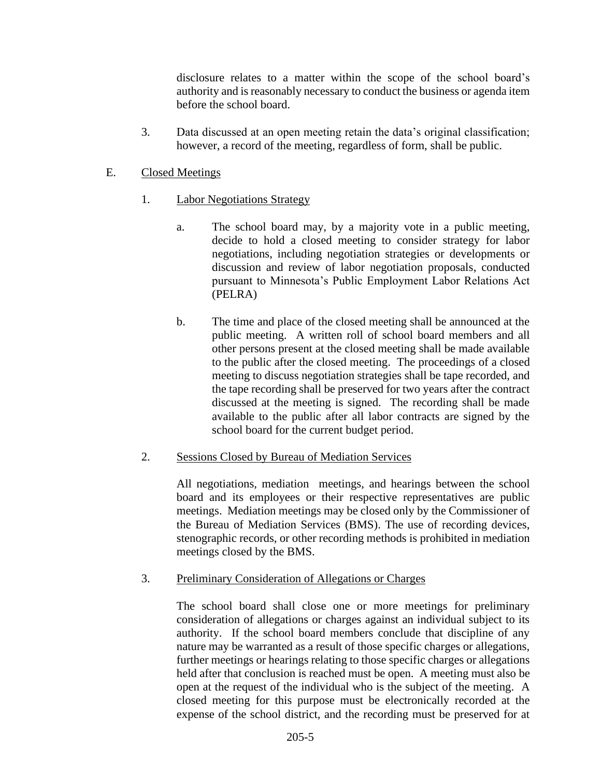disclosure relates to a matter within the scope of the school board's authority and is reasonably necessary to conduct the business or agenda item before the school board.

3. Data discussed at an open meeting retain the data's original classification; however, a record of the meeting, regardless of form, shall be public.

#### E. Closed Meetings

- 1. Labor Negotiations Strategy
	- a. The school board may, by a majority vote in a public meeting, decide to hold a closed meeting to consider strategy for labor negotiations, including negotiation strategies or developments or discussion and review of labor negotiation proposals, conducted pursuant to Minnesota's Public Employment Labor Relations Act (PELRA)
	- b. The time and place of the closed meeting shall be announced at the public meeting. A written roll of school board members and all other persons present at the closed meeting shall be made available to the public after the closed meeting. The proceedings of a closed meeting to discuss negotiation strategies shall be tape recorded, and the tape recording shall be preserved for two years after the contract discussed at the meeting is signed. The recording shall be made available to the public after all labor contracts are signed by the school board for the current budget period.

## 2. Sessions Closed by Bureau of Mediation Services

All negotiations, mediation meetings, and hearings between the school board and its employees or their respective representatives are public meetings. Mediation meetings may be closed only by the Commissioner of the Bureau of Mediation Services (BMS). The use of recording devices, stenographic records, or other recording methods is prohibited in mediation meetings closed by the BMS.

#### 3. Preliminary Consideration of Allegations or Charges

The school board shall close one or more meetings for preliminary consideration of allegations or charges against an individual subject to its authority. If the school board members conclude that discipline of any nature may be warranted as a result of those specific charges or allegations, further meetings or hearings relating to those specific charges or allegations held after that conclusion is reached must be open. A meeting must also be open at the request of the individual who is the subject of the meeting. A closed meeting for this purpose must be electronically recorded at the expense of the school district, and the recording must be preserved for at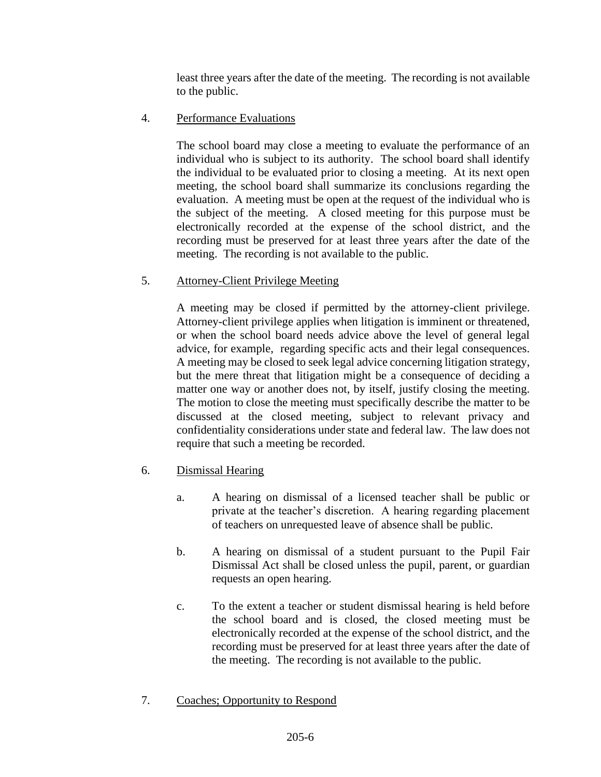least three years after the date of the meeting. The recording is not available to the public.

4. Performance Evaluations

The school board may close a meeting to evaluate the performance of an individual who is subject to its authority. The school board shall identify the individual to be evaluated prior to closing a meeting. At its next open meeting, the school board shall summarize its conclusions regarding the evaluation. A meeting must be open at the request of the individual who is the subject of the meeting. A closed meeting for this purpose must be electronically recorded at the expense of the school district, and the recording must be preserved for at least three years after the date of the meeting. The recording is not available to the public.

5. Attorney-Client Privilege Meeting

A meeting may be closed if permitted by the attorney-client privilege. Attorney-client privilege applies when litigation is imminent or threatened, or when the school board needs advice above the level of general legal advice, for example, regarding specific acts and their legal consequences. A meeting may be closed to seek legal advice concerning litigation strategy, but the mere threat that litigation might be a consequence of deciding a matter one way or another does not, by itself, justify closing the meeting. The motion to close the meeting must specifically describe the matter to be discussed at the closed meeting, subject to relevant privacy and confidentiality considerations under state and federal law. The law does not require that such a meeting be recorded.

- 6. Dismissal Hearing
	- a. A hearing on dismissal of a licensed teacher shall be public or private at the teacher's discretion. A hearing regarding placement of teachers on unrequested leave of absence shall be public.
	- b. A hearing on dismissal of a student pursuant to the Pupil Fair Dismissal Act shall be closed unless the pupil, parent, or guardian requests an open hearing.
	- c. To the extent a teacher or student dismissal hearing is held before the school board and is closed, the closed meeting must be electronically recorded at the expense of the school district, and the recording must be preserved for at least three years after the date of the meeting. The recording is not available to the public.
- 7. Coaches; Opportunity to Respond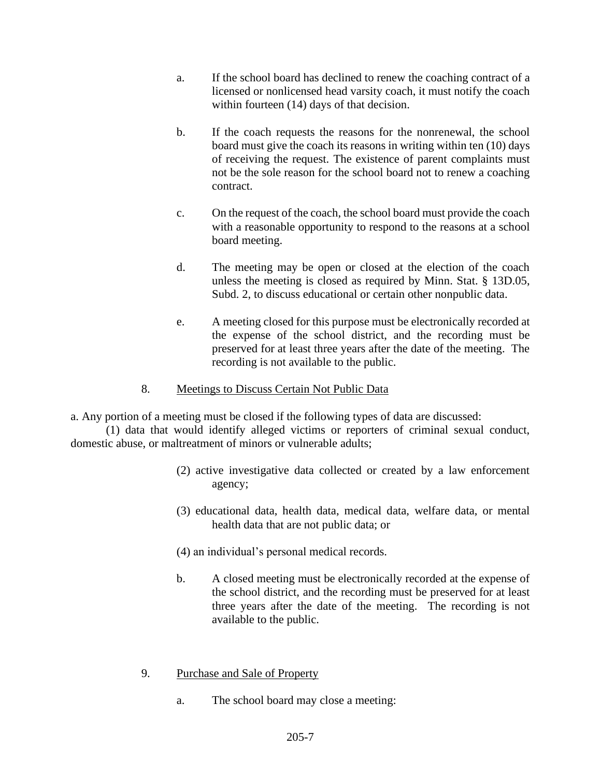- a. If the school board has declined to renew the coaching contract of a licensed or nonlicensed head varsity coach, it must notify the coach within fourteen (14) days of that decision.
- b. If the coach requests the reasons for the nonrenewal, the school board must give the coach its reasons in writing within ten (10) days of receiving the request. The existence of parent complaints must not be the sole reason for the school board not to renew a coaching contract.
- c. On the request of the coach, the school board must provide the coach with a reasonable opportunity to respond to the reasons at a school board meeting.
- d. The meeting may be open or closed at the election of the coach unless the meeting is closed as required by Minn. Stat. § 13D.05, Subd. 2, to discuss educational or certain other nonpublic data.
- e. A meeting closed for this purpose must be electronically recorded at the expense of the school district, and the recording must be preserved for at least three years after the date of the meeting. The recording is not available to the public.
- 8. Meetings to Discuss Certain Not Public Data

a. Any portion of a meeting must be closed if the following types of data are discussed:

(1) data that would identify alleged victims or reporters of criminal sexual conduct, domestic abuse, or maltreatment of minors or vulnerable adults;

- (2) active investigative data collected or created by a law enforcement agency;
- (3) educational data, health data, medical data, welfare data, or mental health data that are not public data; or
- (4) an individual's personal medical records.
- b. A closed meeting must be electronically recorded at the expense of the school district, and the recording must be preserved for at least three years after the date of the meeting. The recording is not available to the public.
- 9. Purchase and Sale of Property
	- a. The school board may close a meeting: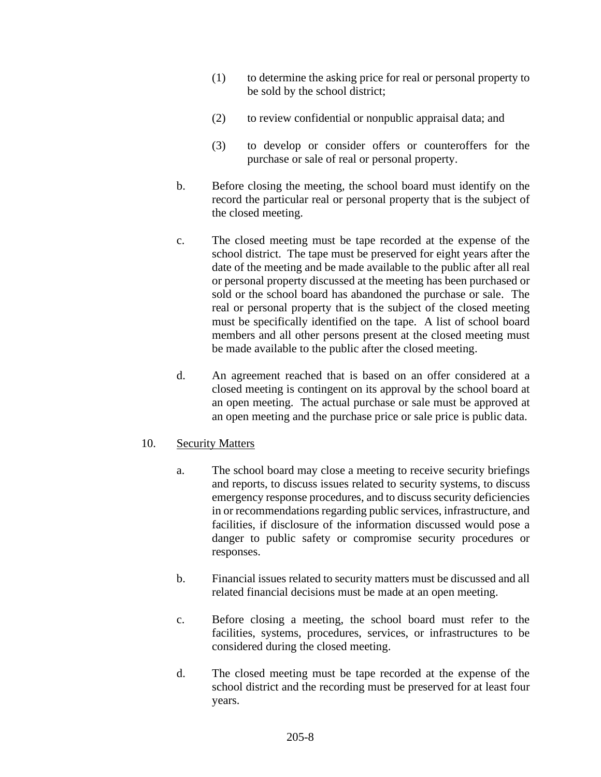- (1) to determine the asking price for real or personal property to be sold by the school district;
- (2) to review confidential or nonpublic appraisal data; and
- (3) to develop or consider offers or counteroffers for the purchase or sale of real or personal property.
- b. Before closing the meeting, the school board must identify on the record the particular real or personal property that is the subject of the closed meeting.
- c. The closed meeting must be tape recorded at the expense of the school district. The tape must be preserved for eight years after the date of the meeting and be made available to the public after all real or personal property discussed at the meeting has been purchased or sold or the school board has abandoned the purchase or sale. The real or personal property that is the subject of the closed meeting must be specifically identified on the tape. A list of school board members and all other persons present at the closed meeting must be made available to the public after the closed meeting.
- d. An agreement reached that is based on an offer considered at a closed meeting is contingent on its approval by the school board at an open meeting. The actual purchase or sale must be approved at an open meeting and the purchase price or sale price is public data.

## 10. Security Matters

- a. The school board may close a meeting to receive security briefings and reports, to discuss issues related to security systems, to discuss emergency response procedures, and to discuss security deficiencies in or recommendations regarding public services, infrastructure, and facilities, if disclosure of the information discussed would pose a danger to public safety or compromise security procedures or responses.
- b. Financial issues related to security matters must be discussed and all related financial decisions must be made at an open meeting.
- c. Before closing a meeting, the school board must refer to the facilities, systems, procedures, services, or infrastructures to be considered during the closed meeting.
- d. The closed meeting must be tape recorded at the expense of the school district and the recording must be preserved for at least four years.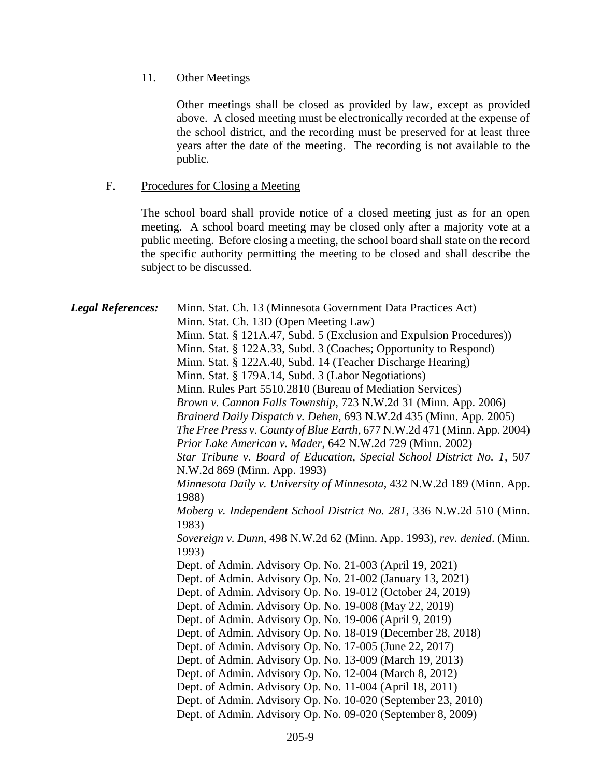11. Other Meetings

Other meetings shall be closed as provided by law, except as provided above. A closed meeting must be electronically recorded at the expense of the school district, and the recording must be preserved for at least three years after the date of the meeting. The recording is not available to the public.

#### F. Procedures for Closing a Meeting

The school board shall provide notice of a closed meeting just as for an open meeting. A school board meeting may be closed only after a majority vote at a public meeting. Before closing a meeting, the school board shall state on the record the specific authority permitting the meeting to be closed and shall describe the subject to be discussed.

*Legal References:* Minn. Stat. Ch. 13 (Minnesota Government Data Practices Act) Minn. Stat. Ch. 13D (Open Meeting Law) Minn. Stat. § 121A.47, Subd. 5 (Exclusion and Expulsion Procedures)) Minn. Stat. § 122A.33, Subd. 3 (Coaches; Opportunity to Respond) Minn. Stat. § 122A.40, Subd. 14 (Teacher Discharge Hearing) Minn. Stat. § 179A.14, Subd. 3 (Labor Negotiations) Minn. Rules Part 5510.2810 (Bureau of Mediation Services) *Brown v. Cannon Falls Township*, 723 N.W.2d 31 (Minn. App. 2006) *Brainerd Daily Dispatch v. Dehen*, 693 N.W.2d 435 (Minn. App. 2005) *The Free Press v. County of Blue Earth*, 677 N.W.2d 471 (Minn. App. 2004) *Prior Lake American v. Mader*, 642 N.W.2d 729 (Minn. 2002) *Star Tribune v. Board of Education, Special School District No. 1*, 507 N.W.2d 869 (Minn. App. 1993) *Minnesota Daily v. University of Minnesota*, 432 N.W.2d 189 (Minn. App. 1988) *Moberg v. Independent School District No. 281*, 336 N.W.2d 510 (Minn. 1983) *Sovereign v. Dunn*, 498 N.W.2d 62 (Minn. App. 1993), *rev. denied*. (Minn. 1993) Dept. of Admin. Advisory Op. No. 21-003 (April 19, 2021) Dept. of Admin. Advisory Op. No. 21-002 (January 13, 2021) Dept. of Admin. Advisory Op. No. 19-012 (October 24, 2019) Dept. of Admin. Advisory Op. No. 19-008 (May 22, 2019) Dept. of Admin. Advisory Op. No. 19-006 (April 9, 2019) Dept. of Admin. Advisory Op. No. 18-019 (December 28, 2018) Dept. of Admin. Advisory Op. No. 17-005 (June 22, 2017) Dept. of Admin. Advisory Op. No. 13-009 (March 19, 2013) Dept. of Admin. Advisory Op. No. 12-004 (March 8, 2012) Dept. of Admin. Advisory Op. No. 11-004 (April 18, 2011) Dept. of Admin. Advisory Op. No. 10-020 (September 23, 2010) Dept. of Admin. Advisory Op. No. 09-020 (September 8, 2009)